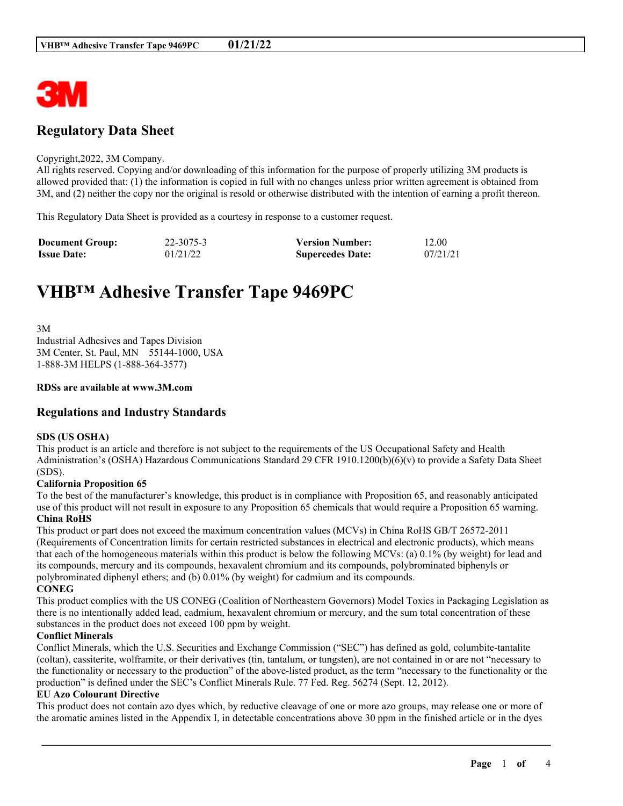

# **Regulatory Data Sheet**

#### Copyright,2022, 3M Company.

All rights reserved. Copying and/or downloading of this information for the purpose of properly utilizing 3M products is allowed provided that: (1) the information is copied in full with no changes unless prior written agreement is obtained from 3M, and (2) neither the copy nor the original is resold or otherwise distributed with the intention of earning a profit thereon.

This Regulatory Data Sheet is provided as a courtesy in response to a customer request.

| <b>Document Group:</b> | 22-3075-3 | <b>Version Number:</b>  | 12.00    |
|------------------------|-----------|-------------------------|----------|
| <b>Issue Date:</b>     | 01/21/22  | <b>Supercedes Date:</b> | 07/21/21 |

# **VHB™ Adhesive Transfer Tape 9469PC**

3M Industrial Adhesives and Tapes Division 3M Center, St. Paul, MN 55144-1000, USA 1-888-3M HELPS (1-888-364-3577)

#### **RDSs are available at www.3M.com**

## **Regulations and Industry Standards**

#### **SDS (US OSHA)**

This product is an article and therefore is not subject to the requirements of the US Occupational Safety and Health Administration's (OSHA) Hazardous Communications Standard 29 CFR 1910.1200(b)(6)(v) to provide a Safety Data Sheet (SDS).

#### **California Proposition 65**

To the best of the manufacturer's knowledge, this product is in compliance with Proposition 65, and reasonably anticipated use of this product will not result in exposure to any Proposition 65 chemicals that would require a Proposition 65 warning. **China RoHS**

This product or part does not exceed the maximum concentration values (MCVs) in China RoHS GB/T 26572-2011 (Requirements of Concentration limits for certain restricted substances in electrical and electronic products), which means that each of the homogeneous materials within this product is below the following MCVs: (a) 0.1% (by weight) for lead and its compounds, mercury and its compounds, hexavalent chromium and its compounds, polybrominated biphenyls or polybrominated diphenyl ethers; and (b) 0.01% (by weight) for cadmium and its compounds. **CONEG**

This product complies with the US CONEG (Coalition of Northeastern Governors) Model Toxics in Packaging Legislation as there is no intentionally added lead, cadmium, hexavalent chromium or mercury, and the sum total concentration of these substances in the product does not exceed 100 ppm by weight.

#### **Conflict Minerals**

Conflict Minerals, which the U.S. Securities and Exchange Commission ("SEC") has defined as gold, columbite-tantalite (coltan), cassiterite, wolframite, or their derivatives (tin, tantalum, or tungsten), are not contained in or are not "necessary to the functionality or necessary to the production" of the above-listed product, as the term "necessary to the functionality or the production" is defined under the SEC's Conflict Minerals Rule. 77 Fed. Reg. 56274 (Sept. 12, 2012).

#### **EU Azo Colourant Directive**

This product does not contain azo dyes which, by reductive cleavage of one or more azo groups, may release one or more of the aromatic amines listed in the Appendix I, in detectable concentrations above 30 ppm in the finished article or in the dyes

\_\_\_\_\_\_\_\_\_\_\_\_\_\_\_\_\_\_\_\_\_\_\_\_\_\_\_\_\_\_\_\_\_\_\_\_\_\_\_\_\_\_\_\_\_\_\_\_\_\_\_\_\_\_\_\_\_\_\_\_\_\_\_\_\_\_\_\_\_\_\_\_\_\_\_\_\_\_\_\_\_\_\_\_\_\_\_\_\_\_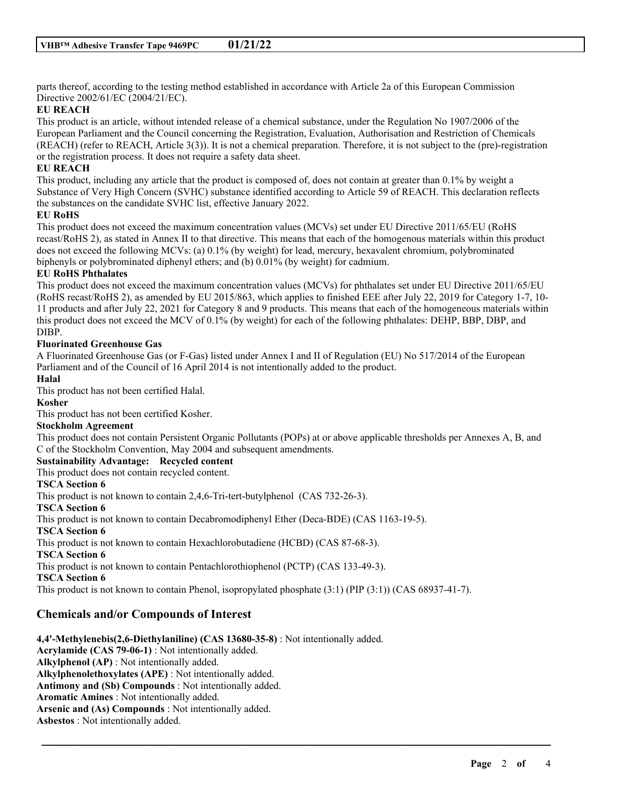parts thereof, according to the testing method established in accordance with Article 2a of this European Commission Directive 2002/61/EC (2004/21/EC).

#### **EU REACH**

This product is an article, without intended release of a chemical substance, under the Regulation No 1907/2006 of the European Parliament and the Council concerning the Registration, Evaluation, Authorisation and Restriction of Chemicals (REACH) (refer to REACH, Article 3(3)). It is not a chemical preparation. Therefore, it is not subject to the (pre)-registration or the registration process. It does not require a safety data sheet.

#### **EU REACH**

This product, including any article that the product is composed of, does not contain at greater than 0.1% by weight a Substance of Very High Concern (SVHC) substance identified according to Article 59 of REACH. This declaration reflects the substances on the candidate SVHC list, effective January 2022.

#### **EU RoHS**

This product does not exceed the maximum concentration values (MCVs) set under EU Directive 2011/65/EU (RoHS recast/RoHS 2), as stated in Annex II to that directive. This means that each of the homogenous materials within this product does not exceed the following MCVs: (a) 0.1% (by weight) for lead, mercury, hexavalent chromium, polybrominated biphenyls or polybrominated diphenyl ethers; and (b) 0.01% (by weight) for cadmium.

## **EU RoHS Phthalates**

This product does not exceed the maximum concentration values (MCVs) for phthalates set under EU Directive 2011/65/EU (RoHS recast/RoHS 2), as amended by EU 2015/863, which applies to finished EEE after July 22, 2019 for Category 1-7, 10- 11 products and after July 22, 2021 for Category 8 and 9 products. This means that each of the homogeneous materials within this product does not exceed the MCV of 0.1% (by weight) for each of the following phthalates: DEHP, BBP, DBP, and DIBP.

## **Fluorinated Greenhouse Gas**

A Fluorinated Greenhouse Gas (or F-Gas) listed under Annex I and II of Regulation (EU) No 517/2014 of the European Parliament and of the Council of 16 April 2014 is not intentionally added to the product.

#### **Halal**

This product has not been certified Halal.

#### **Kosher**

This product has not been certified Kosher.

## **Stockholm Agreement**

This product does not contain Persistent Organic Pollutants (POPs) at or above applicable thresholds per Annexes A, B, and C of the Stockholm Convention, May 2004 and subsequent amendments.

\_\_\_\_\_\_\_\_\_\_\_\_\_\_\_\_\_\_\_\_\_\_\_\_\_\_\_\_\_\_\_\_\_\_\_\_\_\_\_\_\_\_\_\_\_\_\_\_\_\_\_\_\_\_\_\_\_\_\_\_\_\_\_\_\_\_\_\_\_\_\_\_\_\_\_\_\_\_\_\_\_\_\_\_\_\_\_\_\_\_

## **Sustainability Advantage: Recycled content**

This product does not contain recycled content.

#### **TSCA Section 6**

This product is not known to contain 2,4,6-Tri-tert-butylphenol (CAS 732-26-3).

**TSCA Section 6**

This product is not known to contain Decabromodiphenyl Ether (Deca-BDE) (CAS 1163-19-5).

## **TSCA Section 6**

This product is not known to contain Hexachlorobutadiene (HCBD) (CAS 87-68-3).

## **TSCA Section 6**

This product is not known to contain Pentachlorothiophenol (PCTP) (CAS 133-49-3).

**TSCA Section 6**

This product is not known to contain Phenol, isopropylated phosphate (3:1) (PIP (3:1)) (CAS 68937-41-7).

## **Chemicals and/or Compounds of Interest**

**4,4'-Methylenebis(2,6-Diethylaniline) (CAS 13680-35-8)** : Not intentionally added. **Acrylamide (CAS 79-06-1)** : Not intentionally added. **Alkylphenol (AP)** : Not intentionally added. **Alkylphenolethoxylates (APE)** : Not intentionally added. **Antimony and (Sb) Compounds** : Not intentionally added. **Aromatic Amines** : Not intentionally added. **Arsenic and (As) Compounds** : Not intentionally added.

**Asbestos** : Not intentionally added.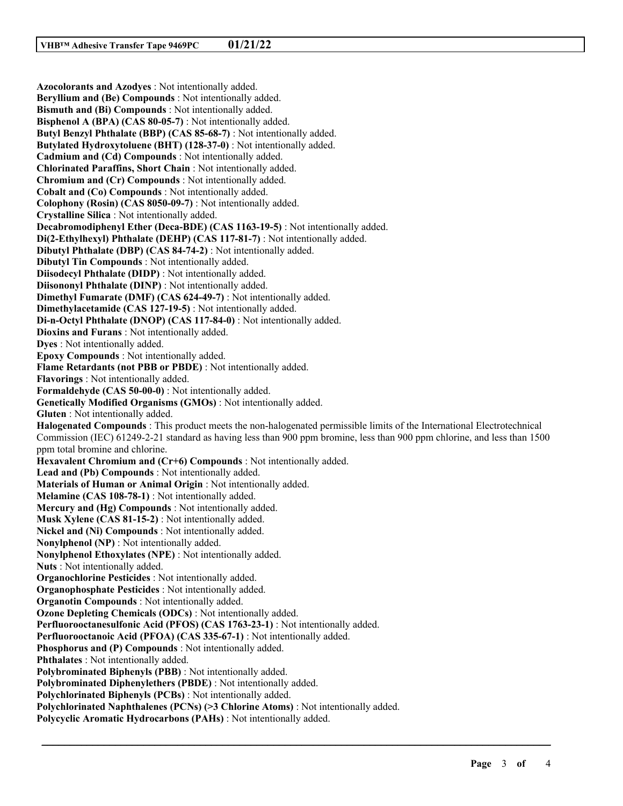**Azocolorants and Azodyes** : Not intentionally added. **Beryllium and (Be) Compounds** : Not intentionally added. **Bismuth and (Bi) Compounds** : Not intentionally added. **Bisphenol A (BPA) (CAS 80-05-7)** : Not intentionally added. **Butyl Benzyl Phthalate (BBP) (CAS 85-68-7)** : Not intentionally added. **Butylated Hydroxytoluene (BHT) (128-37-0)** : Not intentionally added. **Cadmium and (Cd) Compounds** : Not intentionally added. **Chlorinated Paraffins, Short Chain** : Not intentionally added. **Chromium and (Cr) Compounds** : Not intentionally added. **Cobalt and (Co) Compounds** : Not intentionally added. **Colophony (Rosin) (CAS 8050-09-7)** : Not intentionally added. **Crystalline Silica** : Not intentionally added. **Decabromodiphenyl Ether (Deca-BDE) (CAS 1163-19-5)** : Not intentionally added. **Di(2-Ethylhexyl) Phthalate (DEHP) (CAS 117-81-7)** : Not intentionally added. **Dibutyl Phthalate (DBP) (CAS 84-74-2)** : Not intentionally added. **Dibutyl Tin Compounds** : Not intentionally added. **Diisodecyl Phthalate (DIDP)** : Not intentionally added. **Diisononyl Phthalate (DINP)** : Not intentionally added. **Dimethyl Fumarate (DMF) (CAS 624-49-7)** : Not intentionally added. **Dimethylacetamide (CAS 127-19-5)** : Not intentionally added. **Di-n-Octyl Phthalate (DNOP) (CAS 117-84-0)** : Not intentionally added. **Dioxins and Furans** : Not intentionally added. **Dyes** : Not intentionally added. **Epoxy Compounds** : Not intentionally added. **Flame Retardants (not PBB or PBDE)** : Not intentionally added. **Flavorings** : Not intentionally added. **Formaldehyde (CAS 50-00-0)** : Not intentionally added. **Genetically Modified Organisms (GMOs)** : Not intentionally added. **Gluten** : Not intentionally added. **Halogenated Compounds** : This product meets the non-halogenated permissible limits of the International Electrotechnical Commission (IEC) 61249-2-21 standard as having less than 900 ppm bromine, less than 900 ppm chlorine, and less than 1500 ppm total bromine and chlorine. **Hexavalent Chromium and (Cr+6) Compounds** : Not intentionally added. **Lead and (Pb) Compounds** : Not intentionally added. **Materials of Human or Animal Origin** : Not intentionally added. **Melamine (CAS 108-78-1)** : Not intentionally added. **Mercury and (Hg) Compounds** : Not intentionally added. **Musk Xylene (CAS 81-15-2)** : Not intentionally added. **Nickel and (Ni) Compounds** : Not intentionally added. **Nonylphenol (NP)** : Not intentionally added. **Nonylphenol Ethoxylates (NPE)** : Not intentionally added. **Nuts** : Not intentionally added. **Organochlorine Pesticides** : Not intentionally added. **Organophosphate Pesticides** : Not intentionally added. **Organotin Compounds** : Not intentionally added. **Ozone Depleting Chemicals (ODCs)** : Not intentionally added. **Perfluorooctanesulfonic Acid (PFOS) (CAS 1763-23-1)** : Not intentionally added. **Perfluorooctanoic Acid (PFOA) (CAS 335-67-1)** : Not intentionally added. **Phosphorus and (P) Compounds** : Not intentionally added. **Phthalates** : Not intentionally added. **Polybrominated Biphenyls (PBB)** : Not intentionally added. **Polybrominated Diphenylethers (PBDE)** : Not intentionally added. **Polychlorinated Biphenyls (PCBs)** : Not intentionally added. **Polychlorinated Naphthalenes (PCNs) (>3 Chlorine Atoms)** : Not intentionally added. **Polycyclic Aromatic Hydrocarbons (PAHs)** : Not intentionally added.

\_\_\_\_\_\_\_\_\_\_\_\_\_\_\_\_\_\_\_\_\_\_\_\_\_\_\_\_\_\_\_\_\_\_\_\_\_\_\_\_\_\_\_\_\_\_\_\_\_\_\_\_\_\_\_\_\_\_\_\_\_\_\_\_\_\_\_\_\_\_\_\_\_\_\_\_\_\_\_\_\_\_\_\_\_\_\_\_\_\_